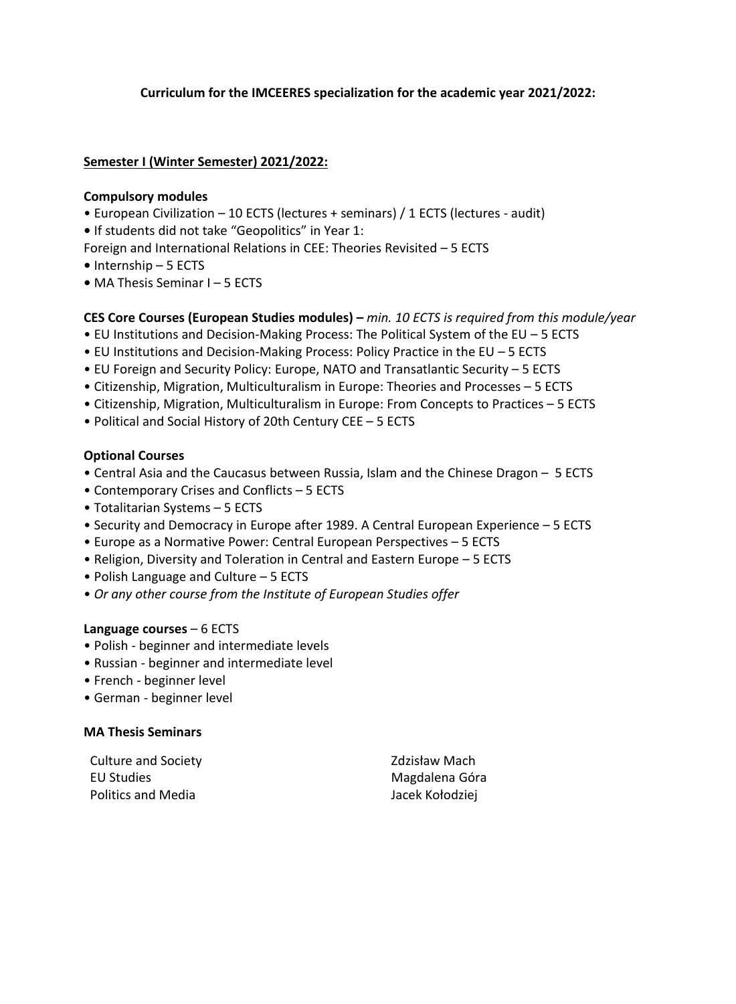# **Curriculum for the IMCEERES specialization for the academic year 2021/2022:**

# **Semester I (Winter Semester) 2021/2022:**

#### **Compulsory modules**

- European Civilization 10 ECTS (lectures + seminars) / 1 ECTS (lectures audit)
- **•** If students did not take "Geopolitics" in Year 1:
- Foreign and International Relations in CEE: Theories Revisited *–* 5 ECTS
- **•** Internship 5 ECTS
- **•** MA Thesis Seminar I 5 ECTS

### **CES Core Courses (European Studies modules) –** *min. 10 ECTS is required from this module/year*

- EU Institutions and Decision-Making Process: The Political System of the EU 5 ECTS
- EU Institutions and Decision-Making Process: Policy Practice in the EU 5 ECTS
- EU Foreign and Security Policy: Europe, NATO and Transatlantic Security 5 ECTS
- Citizenship, Migration, Multiculturalism in Europe: Theories and Processes 5 ECTS
- Citizenship, Migration, Multiculturalism in Europe: From Concepts to Practices 5 ECTS
- Political and Social History of 20th Century CEE 5 ECTS

# **Optional Courses**

- Central Asia and the Caucasus between Russia, Islam and the Chinese Dragon 5 ECTS
- Contemporary Crises and Conflicts 5 ECTS
- Totalitarian Systems 5 ECTS
- Security and Democracy in Europe after 1989. A Central European Experience 5 ECTS
- Europe as a Normative Power: Central European Perspectives 5 ECTS
- Religion, Diversity and Toleration in Central and Eastern Europe 5 ECTS
- Polish Language and Culture 5 ECTS
- *Or any other course from the Institute of European Studies offer*

### **Language courses** – 6 ECTS

- Polish beginner and intermediate levels
- Russian beginner and intermediate level
- French beginner level
- German beginner level

### **MA Thesis Seminars**

Culture and Society **National Society** 2dzisław Mach EU Studies **Magdalena Góra** Magdalena Góra Politics and Media **Jacek Kołodziej**